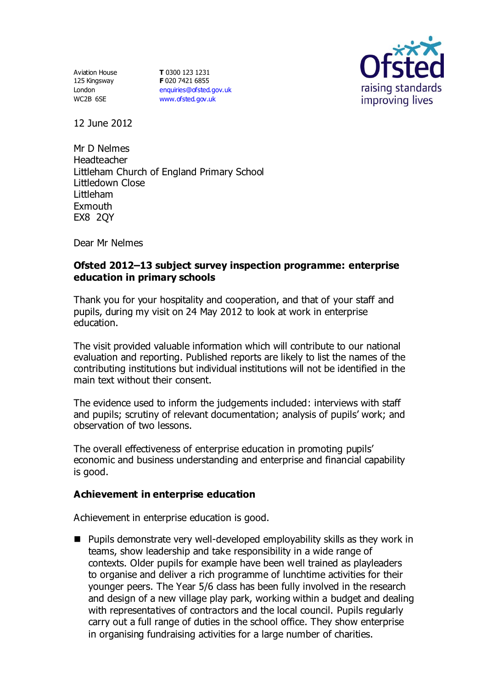Aviation House 125 Kingsway London WC2B 6SE

**T** 0300 123 1231 **F** 020 7421 6855 [enquiries@ofsted.gov.uk](mailto:enquiries@ofsted.gov.uk) [www.ofsted.gov.uk](http://www.ofsted.gov.uk/)



12 June 2012

Mr D Nelmes Headteacher Littleham Church of England Primary School Littledown Close Littleham Exmouth EX8 2QY

Dear Mr Nelmes

# **Ofsted 2012–13 subject survey inspection programme: enterprise education in primary schools**

Thank you for your hospitality and cooperation, and that of your staff and pupils, during my visit on 24 May 2012 to look at work in enterprise education.

The visit provided valuable information which will contribute to our national evaluation and reporting. Published reports are likely to list the names of the contributing institutions but individual institutions will not be identified in the main text without their consent.

The evidence used to inform the judgements included: interviews with staff and pupils; scrutiny of relevant documentation; analysis of pupils' work; and observation of two lessons.

The overall effectiveness of enterprise education in promoting pupils' economic and business understanding and enterprise and financial capability is good.

# **Achievement in enterprise education**

Achievement in enterprise education is good.

■ Pupils demonstrate very well-developed employability skills as they work in teams, show leadership and take responsibility in a wide range of contexts. Older pupils for example have been well trained as playleaders to organise and deliver a rich programme of lunchtime activities for their younger peers. The Year 5/6 class has been fully involved in the research and design of a new village play park, working within a budget and dealing with representatives of contractors and the local council. Pupils regularly carry out a full range of duties in the school office. They show enterprise in organising fundraising activities for a large number of charities.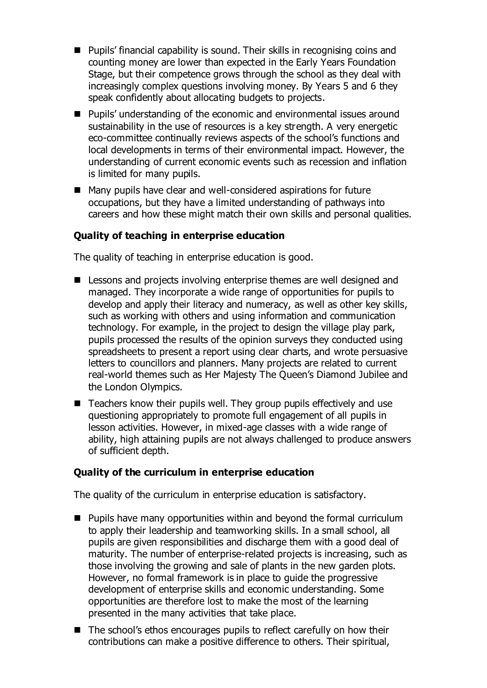- Pupils' financial capability is sound. Their skills in recognising coins and counting money are lower than expected in the Early Years Foundation Stage, but their competence grows through the school as they deal with increasingly complex questions involving money. By Years 5 and 6 they speak confidently about allocating budgets to projects.
- Pupils' understanding of the economic and environmental issues around sustainability in the use of resources is a key strength. A very energetic eco-committee continually reviews aspects of the school's functions and local developments in terms of their environmental impact. However, the understanding of current economic events such as recession and inflation is limited for many pupils.
- Many pupils have clear and well-considered aspirations for future occupations, but they have a limited understanding of pathways into careers and how these might match their own skills and personal qualities.

# **Quality of teaching in enterprise education**

The quality of teaching in enterprise education is good.

- Lessons and projects involving enterprise themes are well designed and managed. They incorporate a wide range of opportunities for pupils to develop and apply their literacy and numeracy, as well as other key skills, such as working with others and using information and communication technology. For example, in the project to design the village play park, pupils processed the results of the opinion surveys they conducted using spreadsheets to present a report using clear charts, and wrote persuasive letters to councillors and planners. Many projects are related to current real-world themes such as Her Majesty The Queen's Diamond Jubilee and the London Olympics.
- Teachers know their pupils well. They group pupils effectively and use questioning appropriately to promote full engagement of all pupils in lesson activities. However, in mixed-age classes with a wide range of ability, high attaining pupils are not always challenged to produce answers of sufficient depth.

# **Quality of the curriculum in enterprise education**

The quality of the curriculum in enterprise education is satisfactory.

- **Pupils have many opportunities within and beyond the formal curriculum** to apply their leadership and teamworking skills. In a small school, all pupils are given responsibilities and discharge them with a good deal of maturity. The number of enterprise-related projects is increasing, such as those involving the growing and sale of plants in the new garden plots. However, no formal framework is in place to guide the progressive development of enterprise skills and economic understanding. Some opportunities are therefore lost to make the most of the learning presented in the many activities that take place.
- The school's ethos encourages pupils to reflect carefully on how their contributions can make a positive difference to others. Their spiritual,